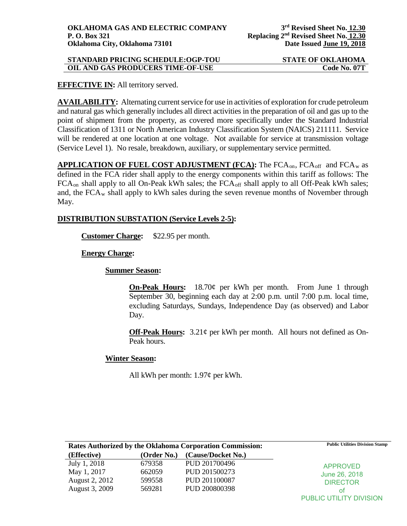| <b>STANDARD PRICING SCHEDULE:OGP-TOU</b> | <b>STATE OF OKLAHOMA</b> |
|------------------------------------------|--------------------------|
| OIL AND GAS PRODUCERS TIME-OF-USE        | Code No. 07T             |

# **EFFECTIVE IN:** All territory served.

**AVAILABILITY:** Alternating current service for use in activities of exploration for crude petroleum and natural gas which generally includes all direct activities in the preparation of oil and gas up to the point of shipment from the property, as covered more specifically under the Standard Industrial Classification of 1311 or North American Industry Classification System (NAICS) 211111. Service will be rendered at one location at one voltage. Not available for service at transmission voltage (Service Level 1). No resale, breakdown, auxiliary, or supplementary service permitted.

APPLICATION OF FUEL COST ADJUSTMENT (FCA): The FCA<sub>on</sub>, FCA<sub>off</sub> and FCA<sub>w</sub> as defined in the FCA rider shall apply to the energy components within this tariff as follows: The FCA<sub>on</sub> shall apply to all On-Peak kWh sales; the FCA<sub>off</sub> shall apply to all Off-Peak kWh sales; and, the FCA<sub>w</sub> shall apply to kWh sales during the seven revenue months of November through May.

# **DISTRIBUTION SUBSTATION (Service Levels 2-5):**

**Customer Charge:** \$22.95 per month.

# **Energy Charge:**

**Summer Season:**

**On-Peak Hours:** 18.70¢ per kWh per month. From June 1 through September 30, beginning each day at 2:00 p.m. until 7:00 p.m. local time, excluding Saturdays, Sundays, Independence Day (as observed) and Labor Day.

**Off-Peak Hours:** 3.21¢ per kWh per month. All hours not defined as On-Peak hours.

# **Winter Season:**

All kWh per month:  $1.97¢$  per kWh.

| Rates Authorized by the Oklahoma Corporation Commission: |             |                    | <b>Public Utilities Division Stamp</b>              |
|----------------------------------------------------------|-------------|--------------------|-----------------------------------------------------|
| (Effective)                                              | (Order No.) | (Cause/Docket No.) |                                                     |
| July 1, 2018                                             | 679358      | PUD 201700496      | <b>APPROVED</b><br>June 26, 2018<br><b>DIRECTOR</b> |
| May 1, 2017                                              | 662059      | PUD 201500273      |                                                     |
| August 2, 2012                                           | 599558      | PUD 201100087      |                                                     |
| August 3, 2009                                           | 569281      | PUD 200800398      | οt                                                  |
|                                                          |             |                    | PUBLIC UTILITY DIVISION                             |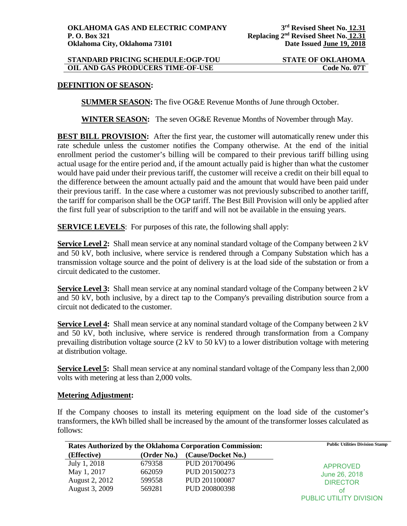## **STANDARD PRICING SCHEDULE:OGP-TOU STATE OF OKLAHOMA OIL AND GAS PRODUCERS TIME-OF-USE Code No. 07T**

## **DEFINITION OF SEASON:**

**SUMMER SEASON:** The five OG&E Revenue Months of June through October.

**WINTER SEASON:** The seven OG&E Revenue Months of November through May.

**BEST BILL PROVISION:** After the first year, the customer will automatically renew under this rate schedule unless the customer notifies the Company otherwise. At the end of the initial enrollment period the customer's billing will be compared to their previous tariff billing using actual usage for the entire period and, if the amount actually paid is higher than what the customer would have paid under their previous tariff, the customer will receive a credit on their bill equal to the difference between the amount actually paid and the amount that would have been paid under their previous tariff. In the case where a customer was not previously subscribed to another tariff, the tariff for comparison shall be the OGP tariff. The Best Bill Provision will only be applied after the first full year of subscription to the tariff and will not be available in the ensuing years.

**SERVICE LEVELS**: For purposes of this rate, the following shall apply:

**Service Level 2:** Shall mean service at any nominal standard voltage of the Company between 2 kV and 50 kV, both inclusive, where service is rendered through a Company Substation which has a transmission voltage source and the point of delivery is at the load side of the substation or from a circuit dedicated to the customer.

**Service Level 3:** Shall mean service at any nominal standard voltage of the Company between 2 kV and 50 kV, both inclusive, by a direct tap to the Company's prevailing distribution source from a circuit not dedicated to the customer.

**Service Level 4:** Shall mean service at any nominal standard voltage of the Company between 2 kV and 50 kV, both inclusive, where service is rendered through transformation from a Company prevailing distribution voltage source (2 kV to 50 kV) to a lower distribution voltage with metering at distribution voltage.

**Service Level 5:** Shall mean service at any nominal standard voltage of the Company less than 2,000 volts with metering at less than 2,000 volts.

#### **Metering Adjustment:**

If the Company chooses to install its metering equipment on the load side of the customer's transformers, the kWh billed shall be increased by the amount of the transformer losses calculated as follows:

| Rates Authorized by the Oklahoma Corporation Commission: |             |                    | <b>Public Utilities Division Stamp</b>              |
|----------------------------------------------------------|-------------|--------------------|-----------------------------------------------------|
| (Effective)                                              | (Order No.) | (Cause/Docket No.) |                                                     |
| July 1, 2018                                             | 679358      | PUD 201700496      | <b>APPROVED</b><br>June 26, 2018<br><b>DIRECTOR</b> |
| May 1, 2017                                              | 662059      | PUD 201500273      |                                                     |
| August 2, 2012                                           | 599558      | PUD 201100087      |                                                     |
| August 3, 2009                                           | 569281      | PUD 200800398      | оt                                                  |
|                                                          |             |                    | PUBLIC UTILITY DIVISION                             |